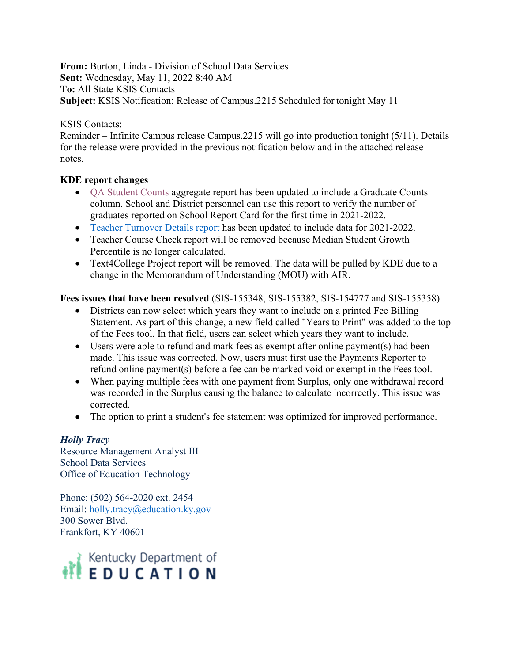**From:** Burton, Linda - Division of School Data Services **Sent:** Wednesday, May 11, 2022 8:40 AM **To:** All State KSIS Contacts **Subject:** KSIS Notification: Release of Campus.2215 Scheduled for tonight May 11

#### KSIS Contacts:

Reminder – Infinite Campus release Campus.2215 will go into production tonight (5/11). Details for the release were provided in the previous notification below and in the attached release notes.

## **KDE report changes**

- [QA Student Counts](https://education.ky.gov/districts/tech/sis/Documents/IC_CustomRpt_QA_StudentCounts.pdf) aggregate report has been updated to include a Graduate Counts column. School and District personnel can use this report to verify the number of graduates reported on School Report Card for the first time in 2021-2022.
- [Teacher Turnover Details report](https://education.ky.gov/districts/tech/sis/Documents/IC_CustomRpt_TeacherTurnoverDetail.pdf) has been updated to include data for 2021-2022.
- Teacher Course Check report will be removed because Median Student Growth Percentile is no longer calculated.
- Text4College Project report will be removed. The data will be pulled by KDE due to a change in the Memorandum of Understanding (MOU) with AIR.

# **Fees issues that have been resolved** (SIS-155348, SIS-155382, SIS-154777 and SIS-155358)

- Districts can now select which years they want to include on a printed Fee Billing Statement. As part of this change, a new field called "Years to Print" was added to the top of the Fees tool. In that field, users can select which years they want to include.
- Users were able to refund and mark fees as exempt after online payment(s) had been made. This issue was corrected. Now, users must first use the Payments Reporter to refund online payment(s) before a fee can be marked void or exempt in the Fees tool.
- When paying multiple fees with one payment from Surplus, only one withdrawal record was recorded in the Surplus causing the balance to calculate incorrectly. This issue was corrected.
- The option to print a student's fee statement was optimized for improved performance.

## *Holly Tracy*

Resource Management Analyst III School Data Services Office of Education Technology

Phone: (502) 564-2020 ext. 2454 Email: [holly.tracy@education.ky.gov](mailto:holly.tracy@education.ky.gov) 300 Sower Blvd. Frankfort, KY 40601

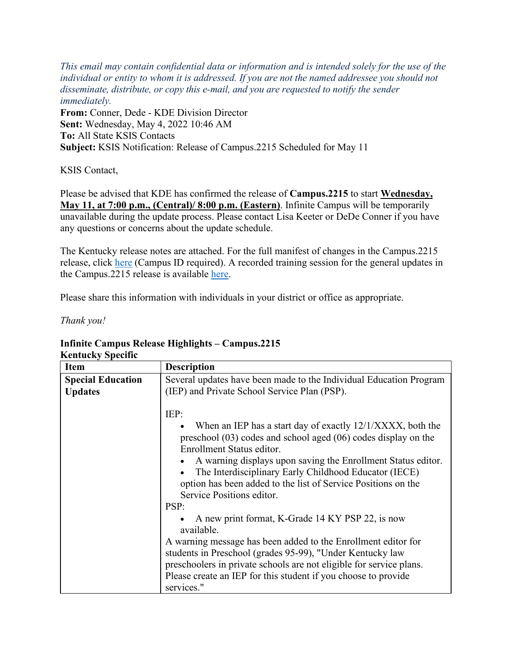*This email may contain confidential data or information and is intended solely for the use of the individual or entity to whom it is addressed. If you are not the named addressee you should not disseminate, distribute, or copy this e-mail, and you are requested to notify the sender immediately.* **From:** Conner, Dede - KDE Division Director **Sent:** Wednesday, May 4, 2022 10:46 AM **To:** All State KSIS Contacts **Subject:** KSIS Notification: Release of Campus.2215 Scheduled for May 11

KSIS Contact,

Please be advised that KDE has confirmed the release of **Campus.2215** to start **Wednesday, May 11, at 7:00 p.m., (Central)/ 8:00 p.m. (Eastern)**. Infinite Campus will be temporarily unavailable during the update process. Please contact Lisa Keeter or DeDe Conner if you have any questions or concerns about the update schedule.

The Kentucky release notes are attached. For the full manifest of changes in the Campus.2215 release, click [here](https://kb.infinitecampus.com/help/release-pack-campus2215-april-2022) (Campus ID required). A recorded training session for the general updates in the Campus.2215 release is available [here.](https://university.infinitecampus.com/learn/course/internal/view/elearning/20609/campus2215-sis-release-highlights)

Please share this information with individuals in your district or office as appropriate.

*Thank you!*

#### **Infinite Campus Release Highlights – Campus.2215 Kentucky Specific**

| іхеншску эресніс         |                                                                                                                                                                                                                                                                                                                                                                                                                                                                                                                                                                                                                                                                                                                                                             |  |
|--------------------------|-------------------------------------------------------------------------------------------------------------------------------------------------------------------------------------------------------------------------------------------------------------------------------------------------------------------------------------------------------------------------------------------------------------------------------------------------------------------------------------------------------------------------------------------------------------------------------------------------------------------------------------------------------------------------------------------------------------------------------------------------------------|--|
| <b>Item</b>              | <b>Description</b>                                                                                                                                                                                                                                                                                                                                                                                                                                                                                                                                                                                                                                                                                                                                          |  |
| <b>Special Education</b> | Several updates have been made to the Individual Education Program                                                                                                                                                                                                                                                                                                                                                                                                                                                                                                                                                                                                                                                                                          |  |
| <b>Updates</b>           | (IEP) and Private School Service Plan (PSP).                                                                                                                                                                                                                                                                                                                                                                                                                                                                                                                                                                                                                                                                                                                |  |
|                          | IEP:<br>When an IEP has a start day of exactly 12/1/XXXX, both the<br>preschool $(03)$ codes and school aged $(06)$ codes display on the<br>Enrollment Status editor.<br>A warning displays upon saving the Enrollment Status editor.<br>The Interdisciplinary Early Childhood Educator (IECE)<br>option has been added to the list of Service Positions on the<br>Service Positions editor.<br>PSP:<br>A new print format, K-Grade 14 KY PSP 22, is now<br>available.<br>A warning message has been added to the Enrollment editor for<br>students in Preschool (grades 95-99), "Under Kentucky law<br>preschoolers in private schools are not eligible for service plans.<br>Please create an IEP for this student if you choose to provide<br>services." |  |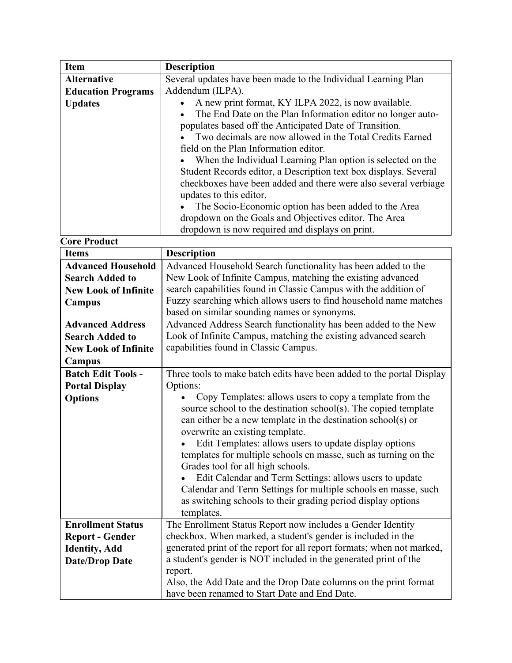| <b>Item</b>                 | <b>Description</b>                                                     |
|-----------------------------|------------------------------------------------------------------------|
| <b>Alternative</b>          | Several updates have been made to the Individual Learning Plan         |
| <b>Education Programs</b>   | Addendum (ILPA).                                                       |
| <b>Updates</b>              | A new print format, KY ILPA 2022, is now available.                    |
|                             | The End Date on the Plan Information editor no longer auto-            |
|                             | populates based off the Anticipated Date of Transition.                |
|                             | Two decimals are now allowed in the Total Credits Earned               |
|                             | field on the Plan Information editor.                                  |
|                             | When the Individual Learning Plan option is selected on the            |
|                             | Student Records editor, a Description text box displays. Several       |
|                             | checkboxes have been added and there were also several verbiage        |
|                             | updates to this editor.                                                |
|                             | The Socio-Economic option has been added to the Area                   |
|                             | dropdown on the Goals and Objectives editor. The Area                  |
|                             | dropdown is now required and displays on print.                        |
| <b>Core Product</b>         |                                                                        |
| <b>Items</b>                | <b>Description</b>                                                     |
| <b>Advanced Household</b>   | Advanced Household Search functionality has been added to the          |
| <b>Search Added to</b>      | New Look of Infinite Campus, matching the existing advanced            |
| <b>New Look of Infinite</b> | search capabilities found in Classic Campus with the addition of       |
| Campus                      | Fuzzy searching which allows users to find household name matches      |
|                             | based on similar sounding names or synonyms.                           |
| <b>Advanced Address</b>     | Advanced Address Search functionality has been added to the New        |
| <b>Search Added to</b>      | Look of Infinite Campus, matching the existing advanced search         |
| <b>New Look of Infinite</b> | capabilities found in Classic Campus.                                  |
| Campus                      |                                                                        |
| <b>Batch Edit Tools -</b>   | Three tools to make batch edits have been added to the portal Display  |
| <b>Portal Display</b>       | Options:                                                               |
| <b>Options</b>              | Copy Templates: allows users to copy a template from the               |
|                             | source school to the destination school(s). The copied template        |
|                             | can either be a new template in the destination school(s) or           |
|                             | overwrite an existing template.                                        |
|                             | Edit Templates: allows users to update display options                 |
|                             | templates for multiple schools en masse, such as turning on the        |
|                             | Grades tool for all high schools.                                      |
|                             | Edit Calendar and Term Settings: allows users to update                |
|                             | Calendar and Term Settings for multiple schools en masse, such         |
|                             | as switching schools to their grading period display options           |
|                             | templates.                                                             |
| <b>Enrollment Status</b>    | The Enrollment Status Report now includes a Gender Identity            |
| <b>Report - Gender</b>      | checkbox. When marked, a student's gender is included in the           |
| <b>Identity</b> , Add       | generated print of the report for all report formats; when not marked, |
| <b>Date/Drop Date</b>       | a student's gender is NOT included in the generated print of the       |
|                             | report.                                                                |

Also, the Add Date and the Drop Date columns on the print format

have been renamed to Start Date and End Date.